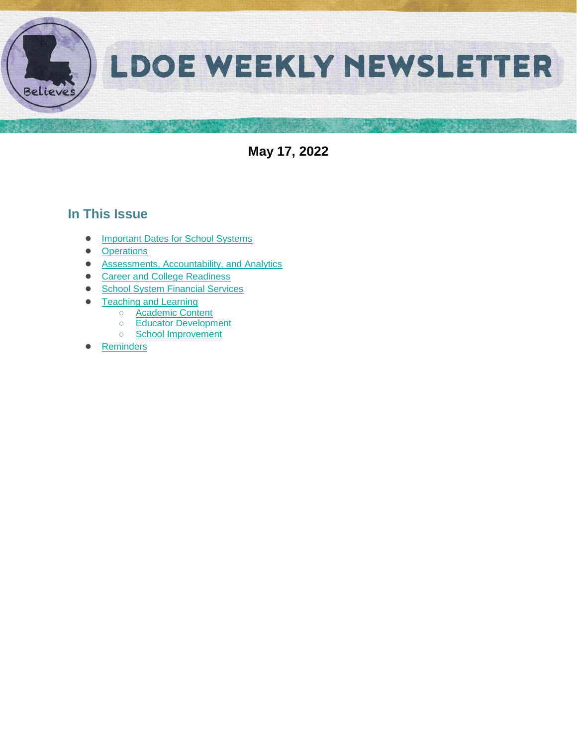

**May 17, 2022**

## **In This Issue**

- [Important Dates for School Systems](#page-1-0)
- **[Operations](#page-2-0)**
- [Assessments, Accountability, and Analytics](#page-3-0)
- [Career and College Readiness](#page-5-0)
- [School System Financial Services](#page-6-0)
- **[Teaching and Learning](#page-7-0)** 
	- [Academic Content](#page-14-0)
	- [Educator Development](#page-14-1)  ○ [School Improvement](#page-10-0)
	-
- [Reminders](#page-11-0)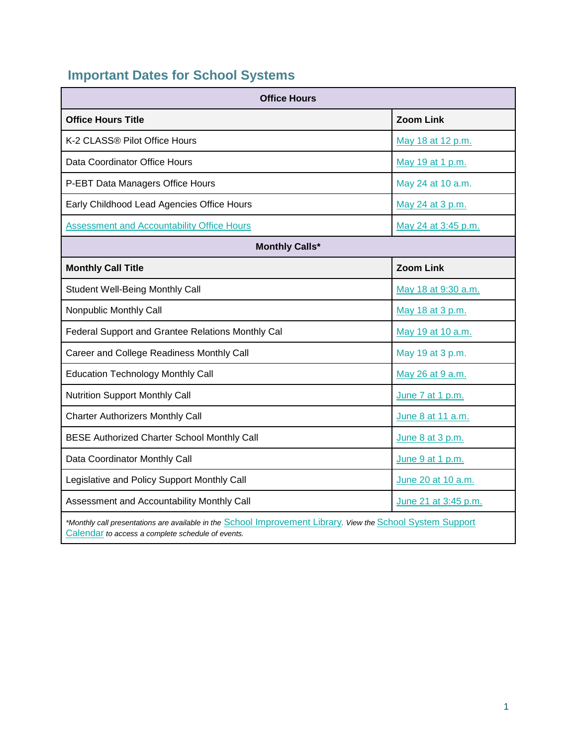# <span id="page-1-0"></span>**Important Dates for School Systems**

| <b>Office Hours</b>                                                                                                                                              |                      |  |  |
|------------------------------------------------------------------------------------------------------------------------------------------------------------------|----------------------|--|--|
| <b>Office Hours Title</b>                                                                                                                                        | <b>Zoom Link</b>     |  |  |
| K-2 CLASS® Pilot Office Hours                                                                                                                                    | May 18 at 12 p.m.    |  |  |
| Data Coordinator Office Hours                                                                                                                                    | May 19 at 1 p.m.     |  |  |
| P-EBT Data Managers Office Hours                                                                                                                                 | May 24 at 10 a.m.    |  |  |
| Early Childhood Lead Agencies Office Hours                                                                                                                       | May 24 at 3 p.m.     |  |  |
| <b>Assessment and Accountability Office Hours</b>                                                                                                                | May 24 at 3:45 p.m.  |  |  |
| <b>Monthly Calls*</b>                                                                                                                                            |                      |  |  |
| <b>Monthly Call Title</b>                                                                                                                                        | <b>Zoom Link</b>     |  |  |
| Student Well-Being Monthly Call                                                                                                                                  | May 18 at 9:30 a.m.  |  |  |
| Nonpublic Monthly Call                                                                                                                                           | May 18 at 3 p.m.     |  |  |
| Federal Support and Grantee Relations Monthly Cal                                                                                                                | May 19 at 10 a.m.    |  |  |
| Career and College Readiness Monthly Call                                                                                                                        | May 19 at 3 p.m.     |  |  |
| <b>Education Technology Monthly Call</b>                                                                                                                         | May 26 at 9 a.m.     |  |  |
| <b>Nutrition Support Monthly Call</b>                                                                                                                            | June 7 at 1 p.m.     |  |  |
| <b>Charter Authorizers Monthly Call</b>                                                                                                                          | June 8 at 11 a.m.    |  |  |
| <b>BESE Authorized Charter School Monthly Call</b>                                                                                                               | June 8 at 3 p.m.     |  |  |
| Data Coordinator Monthly Call                                                                                                                                    | June 9 at 1 p.m.     |  |  |
| Legislative and Policy Support Monthly Call                                                                                                                      | June 20 at 10 a.m.   |  |  |
| Assessment and Accountability Monthly Call                                                                                                                       | June 21 at 3:45 p.m. |  |  |
| *Monthly call presentations are available in the School Improvement Library. View the School System Support<br>Calendar to access a complete schedule of events. |                      |  |  |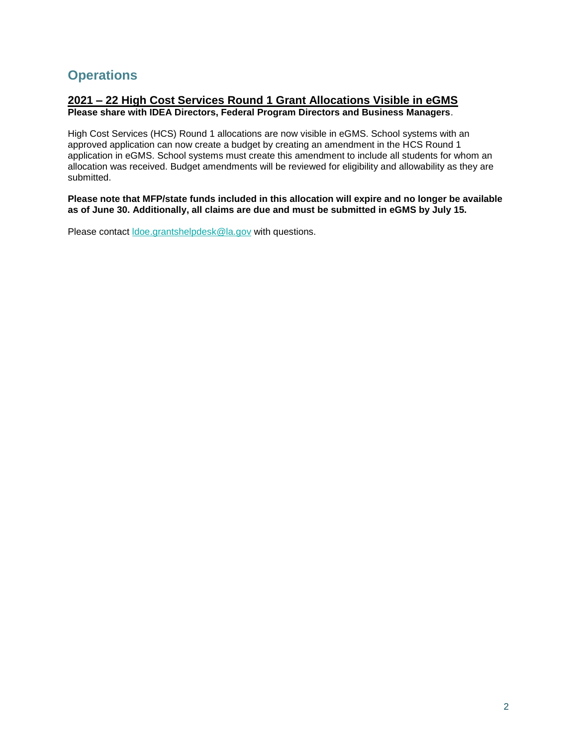## <span id="page-2-0"></span>**Operations**

#### **2021 – 22 High Cost Services Round 1 Grant Allocations Visible in eGMS Please share with IDEA Directors, Federal Program Directors and Business Managers**.

High Cost Services (HCS) Round 1 allocations are now visible in eGMS. School systems with an approved application can now create a budget by creating an amendment in the HCS Round 1 application in eGMS. School systems must create this amendment to include all students for whom an allocation was received. Budget amendments will be reviewed for eligibility and allowability as they are submitted.

**Please note that MFP/state funds included in this allocation will expire and no longer be available as of June 30. Additionally, all claims are due and must be submitted in eGMS by July 15.**

Please contact [ldoe.grantshelpdesk@la.gov](mailto:ldoe.grantshelpdesk@la.gov) with questions.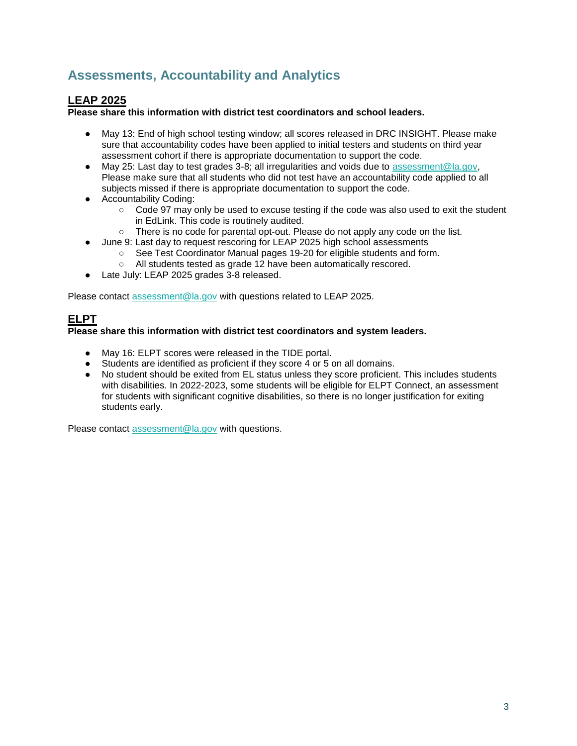## <span id="page-3-0"></span>**Assessments, Accountability and Analytics**

### **LEAP 2025**

**Please share this information with district test coordinators and school leaders.**

- May 13: End of high school testing window; all scores released in DRC INSIGHT. Please make sure that accountability codes have been applied to initial testers and students on third year assessment cohort if there is appropriate documentation to support the code.
- May 25: Last day to test grades 3-8; all irregularities and voids due to [assessment@la.gov,](mailto:assessment@la.gov) Please make sure that all students who did not test have an accountability code applied to all subjects missed if there is appropriate documentation to support the code.
- Accountability Coding:
	- Code 97 may only be used to excuse testing if the code was also used to exit the student in EdLink. This code is routinely audited.
	- There is no code for parental opt-out. Please do not apply any code on the list.
- June 9: Last day to request rescoring for LEAP 2025 high school assessments
	- See Test Coordinator Manual pages 19-20 for eligible students and form.
	- All students tested as grade 12 have been automatically rescored.
- Late July: LEAP 2025 grades 3-8 released.

Please contact [assessment@la.gov](mailto:assessment@la.gov) with questions related to LEAP 2025.

## **ELPT**

#### **Please share this information with district test coordinators and system leaders.**

- May 16: ELPT scores were released in the TIDE portal.
- Students are identified as proficient if they score 4 or 5 on all domains.
- No student should be exited from EL status unless they score proficient. This includes students with disabilities. In 2022-2023, some students will be eligible for ELPT Connect, an assessment for students with significant cognitive disabilities, so there is no longer justification for exiting students early.

Please contact [assessment@la.gov](mailto:assessment@la.gov) with questions.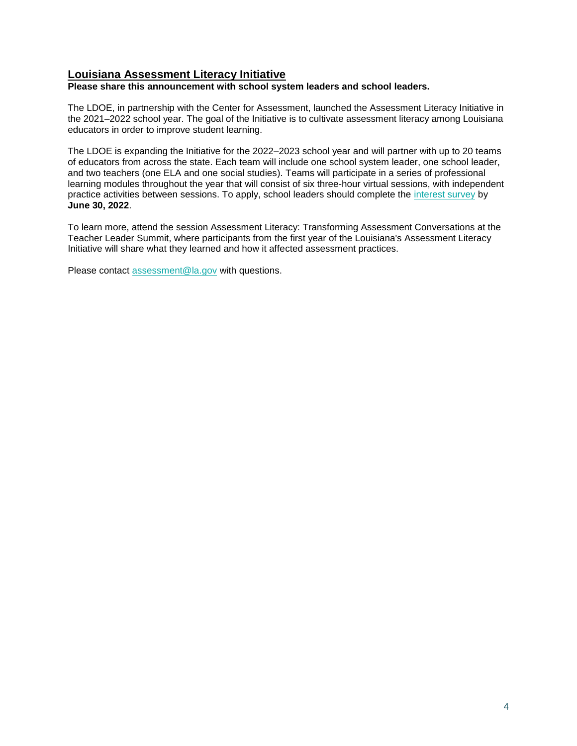### **Louisiana Assessment Literacy Initiative**

**Please share this announcement with school system leaders and school leaders.**

The LDOE, in partnership with the Center for Assessment, launched the Assessment Literacy Initiative in the 2021–2022 school year. The goal of the Initiative is to cultivate assessment literacy among Louisiana educators in order to improve student learning.

The LDOE is expanding the Initiative for the 2022–2023 school year and will partner with up to 20 teams of educators from across the state. Each team will include one school system leader, one school leader, and two teachers (one ELA and one social studies). Teams will participate in a series of professional learning modules throughout the year that will consist of six three-hour virtual sessions, with independent practice activities between sessions. To apply, school leaders should complete the [interest survey](https://docs.google.com/forms/d/e/1FAIpQLSc8wPVFqk3Qb062CCda0bGbANSellkZSzrizltgLqMdvPPreQ/viewform?usp=sf_link) by **June 30, 2022**.

To learn more, attend the session Assessment Literacy: Transforming Assessment Conversations at the Teacher Leader Summit, where participants from the first year of the Louisiana's Assessment Literacy Initiative will share what they learned and how it affected assessment practices.

Please contact [assessment@la.gov](mailto:assessment@la.gov) with questions.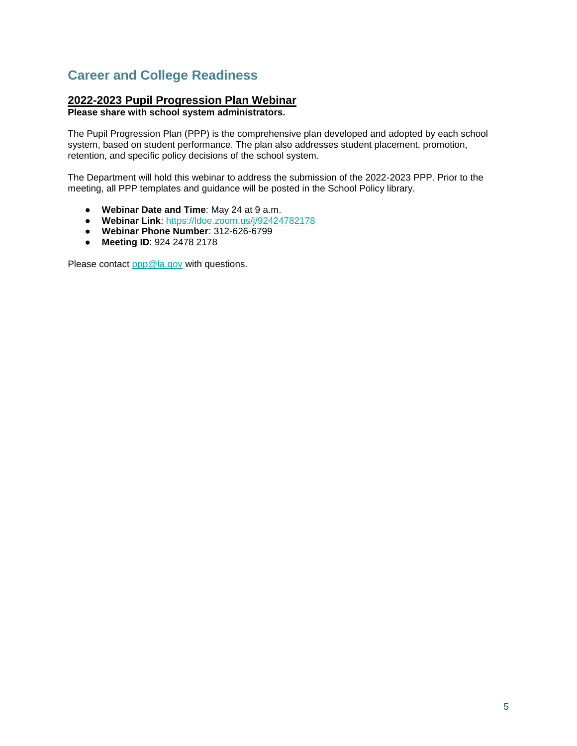## <span id="page-5-0"></span>**Career and College Readiness**

### **2022-2023 Pupil Progression Plan Webinar**

**Please share with school system administrators.**

The Pupil Progression Plan (PPP) is the comprehensive plan developed and adopted by each school system, based on student performance. The plan also addresses student placement, promotion, retention, and specific policy decisions of the school system.

The Department will hold this webinar to address the submission of the 2022-2023 PPP. Prior to the meeting, all PPP templates and guidance will be posted in the School Policy library.

- **Webinar Date and Time**: May 24 at 9 a.m.
- **Webinar Link**: [https://ldoe.zoom.us/j/92424782178](https://ldoe.zoom.us/j/92424782178?pwd=M281V1ZXdElaTHNUcnRtaWxBbE5WZz09)
- **Webinar Phone Number**: 312-626-6799
- **Meeting ID**: 924 2478 2178

Please contact [ppp@la.gov](mailto:ppp@la.gov) with questions.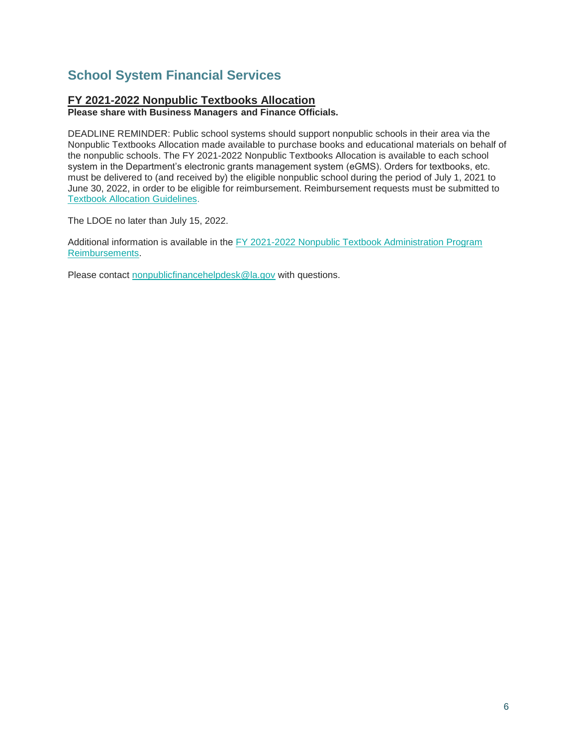## <span id="page-6-0"></span>**School System Financial Services**

### **FY 2021-2022 Nonpublic Textbooks Allocation**

**Please share with Business Managers and Finance Officials.**

DEADLINE REMINDER: Public school systems should support nonpublic schools in their area via the Nonpublic Textbooks Allocation made available to purchase books and educational materials on behalf of the nonpublic schools. The FY 2021-2022 Nonpublic Textbooks Allocation is available to each school system in the Department's electronic grants management system (eGMS). Orders for textbooks, etc. must be delivered to (and received by) the eligible nonpublic school during the period of July 1, 2021 to June 30, 2022, in order to be eligible for reimbursement. Reimbursement requests must be submitted to [Textbook Allocation Guidelines.](https://www.louisianabelieves.com/docs/default-source/links-for-newsletters/fy2021-22-nonpublic-textbook-allocation-guidelines-for-leas.pdf)

The LDOE no later than July 15, 2022.

Additional information is available in the FY 2021-2022 Nonpublic Textbook Administration Program [Reimbursements.](https://www.louisianabelieves.com/docs/default-source/links-for-newsletters/fy2021-22-nonpublic-textbook-allocation-guidelines-for-leas.pdf)

Please contact [nonpublicfinancehelpdesk@la.gov](mailto:nonpublicfinancehelpdesk@la.gov) with questions.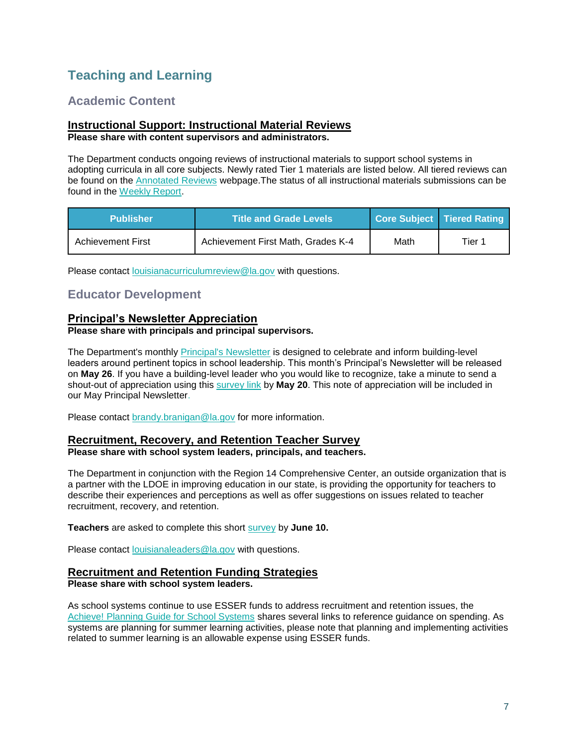## <span id="page-7-0"></span>**Teaching and Learning**

## **Academic Content**

#### **Instructional Support: Instructional Material Reviews Please share with content supervisors and administrators.**

The Department conducts ongoing reviews of instructional materials to support school systems in adopting curricula in all core subjects. Newly rated Tier 1 materials are listed below. All tiered reviews can be found on the [Annotated Reviews](http://www.louisianabelieves.com/academics/ONLINE-INSTRUCTIONAL-MATERIALS-REVIEWS/curricular-resources-annotated-reviews) webpage.The status of all instructional materials submissions can be found in the [Weekly Report.](https://www.louisianabelieves.com/docs/default-source/curricular-resources/online-instructional-materials-reviews.pdf?sfvrsn=a26b841f_654)

| <b>Publisher</b> '       | <b>Title and Grade Levels</b>      |      | Core Subject   Tiered Rating |
|--------------------------|------------------------------------|------|------------------------------|
| <b>Achievement First</b> | Achievement First Math, Grades K-4 | Math | Tier 1                       |

Please contact [louisianacurriculumreview@la.gov](mailto:LouisianaCurriculumReview@la.gov) with questions.

## **Educator Development**

#### **Principal's Newsletter Appreciation**

#### **Please share with principals and principal supervisors.**

The Department's monthly **Principal's Newsletter** is designed to celebrate and inform building-level leaders around pertinent topics in school leadership. This month's Principal's Newsletter will be released on **May 26**. If you have a building-level leader who you would like to recognize, take a minute to send a shout-out of appreciation using this [survey link](https://forms.gle/azgHb6Tk9vLD4V5t8) by **May 20**. This note of appreciation will be included in our May Principal Newsletter.

Please contact [brandy.branigan@la.gov](mailto:brandy.branigan@la.gov) for more information.

#### **Recruitment, Recovery, and Retention Teacher Survey**

**Please share with school system leaders, principals, and teachers.**

The Department in conjunction with the Region 14 Comprehensive Center, an outside organization that is a partner with the LDOE in improving education in our state, is providing the opportunity for teachers to describe their experiences and perceptions as well as offer suggestions on issues related to teacher recruitment, recovery, and retention.

**Teachers** are asked to complete this short [survey](https://survey.alchemer.com/s3/6839519/Region-14-CC-Teacher-Recruitment-Retention-and-Recovery-Survey) by **June 10.**

Please contact [louisianaleaders@la.gov](mailto:louisianaleaders@la.gov) with questions.

#### **Recruitment and Retention Funding Strategies**

**Please share with school system leaders.**

As school systems continue to use ESSER funds to address recruitment and retention issues, the [Achieve! Planning Guide for School Systems](https://www.louisianabelieves.com/docs/default-source/operations/achieve!-planning-guidance.pdf?sfvrsn=25d36718_24) shares several links to reference guidance on spending. As systems are planning for summer learning activities, please note that planning and implementing activities related to summer learning is an allowable expense using ESSER funds.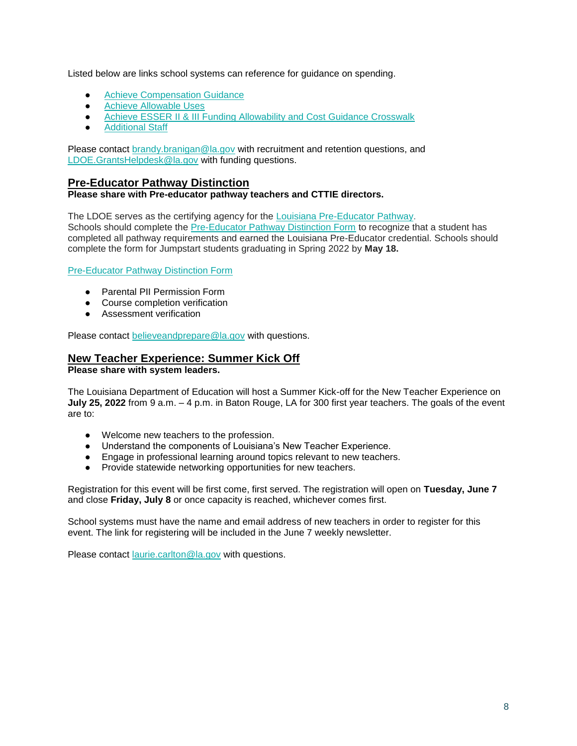Listed below are links school systems can reference for guidance on spending.

- **[Achieve Compensation Guidance](https://www.louisianabelieves.com/docs/default-source/achieve/achieve!-compensation-guidance.pdf?sfvrsn=d4ce6718_8)**
- Achieve Allowable Uses
- Achieve ESSER II & III Funding Allowability and Cost Guidance Crosswalk
- **[Additional Staff](https://www.louisianabelieves.com/docs/default-source/achieve/achieve!-hiring-investment-examples.pdf?sfvrsn=60fb6718_2)**

Please contact [brandy.branigan@la.gov](mailto:brandy.branigan@la.gov) with recruitment and retention questions, and [LDOE.GrantsHelpdesk@la.gov](mailto:LDOE.GrantsHelpdesk@la.gov) with funding questions.

#### **Pre-Educator Pathway Distinction**

#### **Please share with Pre-educator pathway teachers and CTTIE directors.**

The LDOE serves as the certifying agency for the [Louisiana Pre-Educator Pathway.](https://www.louisianabelieves.com/docs/default-source/js-graduation-pathways/pre-educator-pathway-brief---louisiana-pre-educator-pathway.pdf?sfvrsn=7c549d1f_18) Schools should complete the [Pre-Educator Pathway Distinction Form](https://form.jotform.com/220096198837062) to recognize that a student has completed all pathway requirements and earned the Louisiana Pre-Educator credential. Schools should complete the form for Jumpstart students graduating in Spring 2022 by **May 18.**

#### [Pre-Educator Pathway Distinction Form](https://form.jotform.com/220096198837062)

- Parental PII Permission Form
- Course completion verification
- Assessment verification

Please contact [believeandprepare@la.gov](mailto:believeandprepare@la.gov) with questions.

## **New Teacher Experience: Summer Kick Off**

#### **Please share with system leaders.**

The Louisiana Department of Education will host a Summer Kick-off for the New Teacher Experience on **July 25, 2022** from 9 a.m. – 4 p.m. in Baton Rouge, LA for 300 first year teachers. The goals of the event are to:

- Welcome new teachers to the profession.
- Understand the components of Louisiana's New Teacher Experience.
- Engage in professional learning around topics relevant to new teachers.
- Provide statewide networking opportunities for new teachers.

Registration for this event will be first come, first served. The registration will open on **Tuesday, June 7**  and close **Friday, July 8** or once capacity is reached, whichever comes first.

School systems must have the name and email address of new teachers in order to register for this event. The link for registering will be included in the June 7 weekly newsletter.

Please contact [laurie.carlton@la.gov](mailto:laurie.carlton@la.gov) with questions.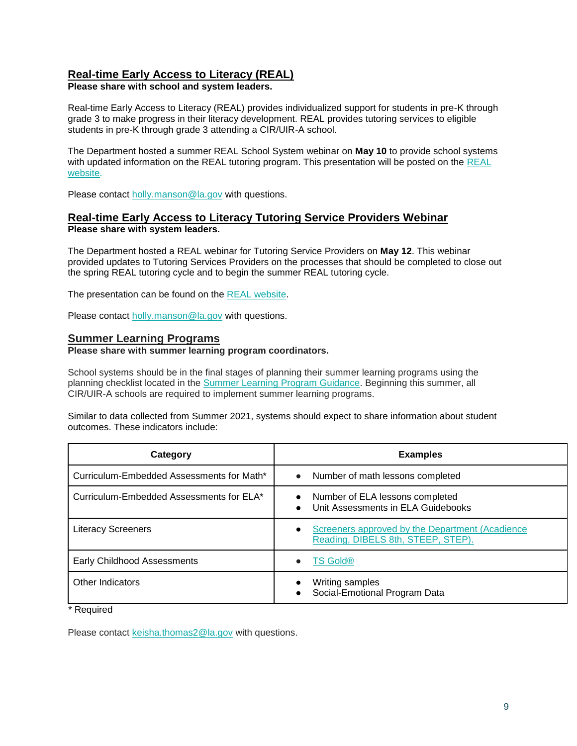### **Real-time Early Access to Literacy (REAL)**

**Please share with school and system leaders.**

Real-time Early Access to Literacy (REAL) provides individualized support for students in pre-K through grade 3 to make progress in their literacy development. REAL provides tutoring services to eligible students in pre-K through grade 3 attending a CIR/UIR-A school.

The Department hosted a summer REAL School System webinar on **May 10** to provide school systems with updated information on the [REAL](https://www.louisianabelieves.com/academics/real-time-early-access-to-literacy) tutoring program. This presentation will be posted on the REAL [website.](https://www.louisianabelieves.com/academics/real-time-early-access-to-literacy)

Please contact holly.manson@la.gov with questions.

#### **Real-time Early Access to Literacy Tutoring Service Providers Webinar Please share with system leaders.**

The Department hosted a REAL webinar for Tutoring Service Providers on **May 12**. This webinar provided updates to Tutoring Services Providers on the processes that should be completed to close out the spring REAL tutoring cycle and to begin the summer REAL tutoring cycle.

The presentation can be found on the [REAL website.](https://www.louisianabelieves.com/academics/real-time-early-access-to-literacy)

Please contact holly.manson@la.gov with questions.

#### **Summer Learning Programs**

**Please share with summer learning program coordinators.**

School systems should be in the final stages of planning their summer learning programs using the planning checklist located in the [Summer Learning Program Guidance.](https://www.louisianabelieves.com/docs/default-source/academics/summer-learning-program-guidance-2021.pdf?sfvrsn=9f5a6618_2) Beginning this summer, all CIR/UIR-A schools are required to implement summer learning programs.

Similar to data collected from Summer 2021, systems should expect to share information about student outcomes. These indicators include:

| Category                                  | <b>Examples</b>                                                                                    |
|-------------------------------------------|----------------------------------------------------------------------------------------------------|
| Curriculum-Embedded Assessments for Math* | Number of math lessons completed<br>$\bullet$                                                      |
| Curriculum-Embedded Assessments for ELA*  | Number of ELA lessons completed<br>Unit Assessments in ELA Guidebooks<br>$\bullet$                 |
| <b>Literacy Screeners</b>                 | Screeners approved by the Department (Acadience<br>$\bullet$<br>Reading, DIBELS 8th, STEEP, STEP). |
| Early Childhood Assessments               | <b>TS Gold®</b><br>$\bullet$                                                                       |
| Other Indicators                          | Writing samples<br>Social-Emotional Program Data                                                   |

\* Required

Please contact [keisha.thomas2@la.gov](mailto:Keisha.Thomas2@la.gov) with questions.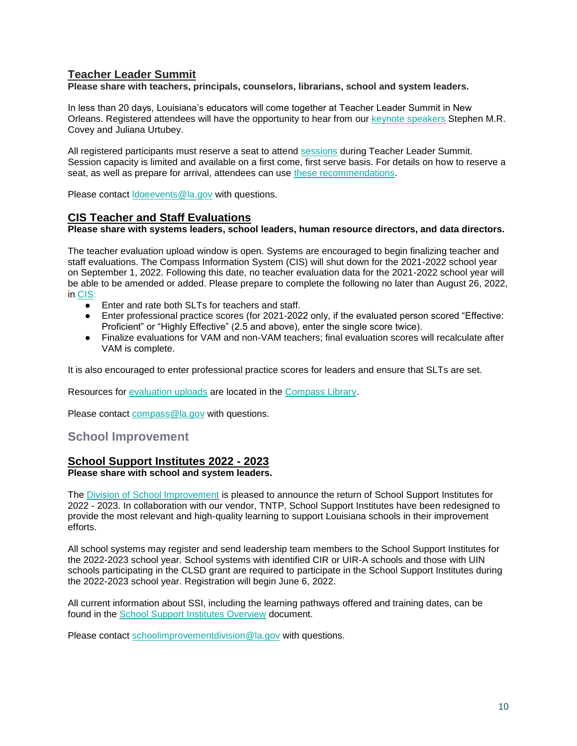### **Teacher Leader Summit**

**Please share with teachers, principals, counselors, librarians, school and system leaders.** 

In less than 20 days, Louisiana's educators will come together at Teacher Leader Summit in New Orleans. Registered attendees will have the opportunity to hear from our [keynote speakers](https://www.louisianabelieves.com/docs/default-source/2022-teacher-leader-summit/keynote-speakers---tl-summit-2022.pdf) Stephen M.R. Covey and Juliana Urtubey.

All registered participants must reserve a seat to attend [sessions](https://whova.com/embedded/event/i6u0jc%2FHaQPA8X9JKRdO22%2FvxgNOBGeJNdxPWRzFISM%3D/?utc_source=ems) during Teacher Leader Summit. Session capacity is limited and available on a first come, first serve basis. For details on how to reserve a seat, as well as prepare for arrival, attendees can use [these recommendations.](https://www.louisianabelieves.com/docs/default-source/2022-teacher-leader-summit/prepare-for-arrival---tl-summit-2022.pdf)

Please contact [ldoeevents@la.gov](mailto:LDOEevents@la.gov) with questions.

#### **CIS Teacher and Staff Evaluations**

**Please share with systems leaders, school leaders, human resource directors, and data directors.**

The teacher evaluation upload window is open. Systems are encouraged to begin finalizing teacher and staff evaluations. The Compass Information System (CIS) will shut down for the 2021-2022 school year on September 1, 2022. Following this date, no teacher evaluation data for the 2021-2022 school year will be able to be amended or added. Please prepare to complete the following no later than August 26, 2022, in [CIS:](https://leads13.doe.louisiana.gov/hcs/FrameWork.aspx)

- Enter and rate both SLTs for teachers and staff.
- Enter professional practice scores (for 2021-2022 only, if the evaluated person scored "Effective: Proficient" or "Highly Effective" (2.5 and above), enter the single score twice).
- Finalize evaluations for VAM and non-VAM teachers; final evaluation scores will recalculate after VAM is complete.

It is also encouraged to enter professional practice scores for leaders and ensure that SLTs are set.

Resources for [evaluation uploads](https://www.louisianabelieves.com/docs/default-source/teaching/compass-information-system-evaluation-upload-guide.pdf?sfvrsn=2c216718_8) are located in the [Compass Library.](https://www.louisianabelieves.com/resources/library/compass) 

Please contact [compass@la.gov](mailto:compass@la.gov) with questions.

#### <span id="page-10-0"></span>**School Improvement**

### **School Support Institutes 2022 - 2023**

### **Please share with school and system leaders.**

The [Division of School Improvement](https://www.louisianabelieves.com/schools/school-improvement) is pleased to announce the return of School Support Institutes for 2022 - 2023. In collaboration with our vendor, TNTP, School Support Institutes have been redesigned to provide the most relevant and high-quality learning to support Louisiana schools in their improvement efforts.

All school systems may register and send leadership team members to the School Support Institutes for the 2022-2023 school year. School systems with identified CIR or UIR-A schools and those with UIN schools participating in the CLSD grant are required to participate in the School Support Institutes during the 2022-2023 school year. Registration will begin June 6, 2022.

All current information about SSI, including the learning pathways offered and training dates, can be found in the [School Support Institutes Overview](https://www.louisianabelieves.com/docs/default-source/district-support/school-support-institutes-overview.pdf?sfvrsn=6f16991f_8) document.

Please contact [schoolimprovementdivision@la.gov](mailto:schoolimprovementdivision@la.gov) with questions.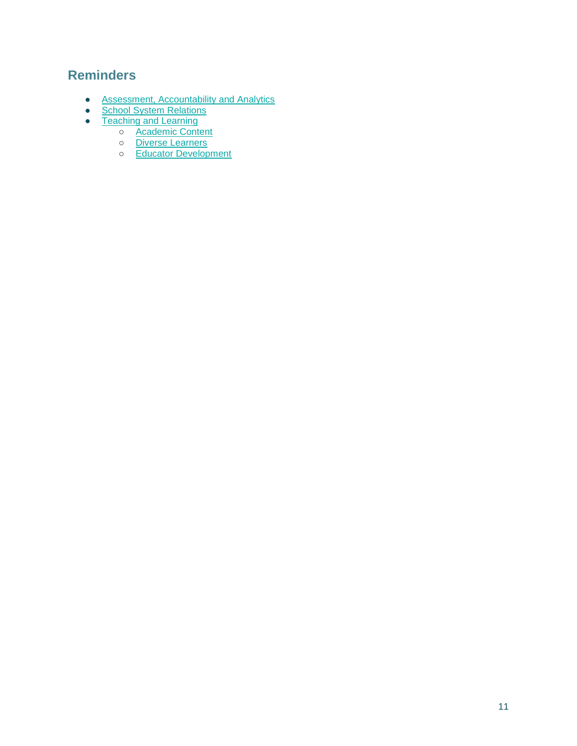## <span id="page-11-0"></span>**Reminders**

- [Assessment, Accountability and Analytics](#page-12-0)
- [School System Relations](#page-13-0)
- [Teaching and Learning](#page-14-2)
	- o **[Academic Content](#page-14-0)**
	- o [Diverse Learners](#page-14-3)
	- o [Educator Development](#page-14-1)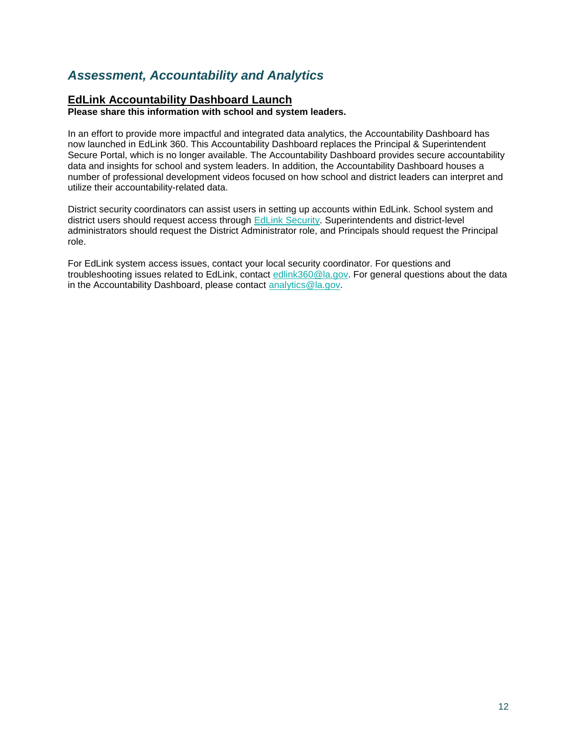## <span id="page-12-0"></span>*Assessment, Accountability and Analytics*

#### **EdLink Accountability Dashboard Launch**

**Please share this information with school and system leaders.**

In an effort to provide more impactful and integrated data analytics, the Accountability Dashboard has now launched in EdLink 360. This Accountability Dashboard replaces the Principal & Superintendent Secure Portal, which is no longer available. The Accountability Dashboard provides secure accountability data and insights for school and system leaders. In addition, the Accountability Dashboard houses a number of professional development videos focused on how school and district leaders can interpret and utilize their accountability-related data.

District security coordinators can assist users in setting up accounts within EdLink. School system and district users should request access through [EdLink Security.](https://leads13.doe.louisiana.gov/lug/Security-EdLink/EdLinkSecurity.htm) Superintendents and district-level administrators should request the District Administrator role, and Principals should request the Principal role.

For EdLink system access issues, contact your local security coordinator. For questions and troubleshooting issues related to EdLink, contact [edlink360@la.gov.](mailto:edlink360@la.gov) For general questions about the data in the Accountability Dashboard, please contact [analytics@la.gov.](mailto:analytics@la.gov)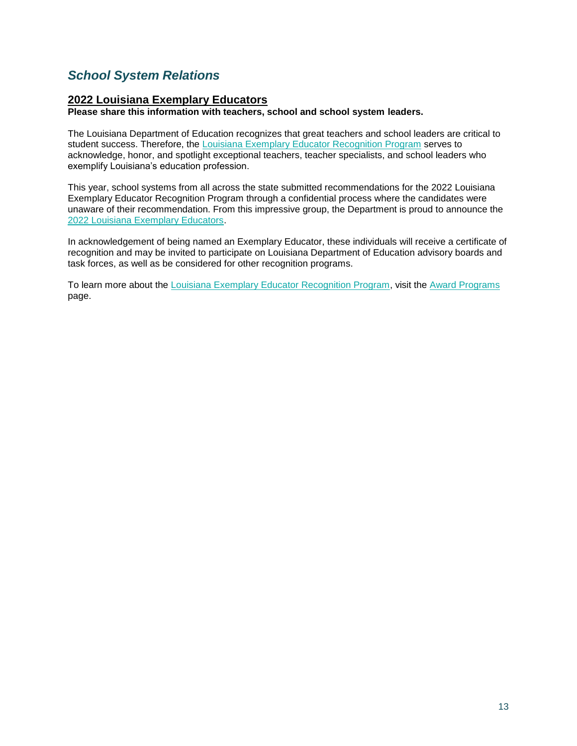## <span id="page-13-0"></span>*School System Relations*

### **2022 Louisiana Exemplary Educators**

**Please share this information with teachers, school and school system leaders.**

The Louisiana Department of Education recognizes that great teachers and school leaders are critical to student success. Therefore, the [Louisiana Exemplary Educator Recognition Program](https://www.louisianabelieves.com/docs/default-source/key-initiatives/louisiana) serves to acknowledge, honor, and spotlight exceptional teachers, teacher specialists, and school leaders who exemplify Louisiana's education profession.

This year, school systems from all across the state submitted recommendations for the 2022 Louisiana Exemplary Educator Recognition Program through a confidential process where the candidates were unaware of their recommendation. From this impressive group, the Department is proud to announce the [2022 Louisiana Exemplary Educators.](https://www.louisianabelieves.com/docs/default-source/awards/2022-louisiana-exemplary-educators-announcement.pdf)

In acknowledgement of being named an Exemplary Educator, these individuals will receive a certificate of recognition and may be invited to participate on Louisiana Department of Education advisory boards and task forces, as well as be considered for other recognition programs.

To learn more about the [Louisiana Exemplary Educator Recognition Program,](https://www.louisianabelieves.com/docs/default-source/key-initiatives/louisiana) visit the [Award Programs](https://www.louisianabelieves.com/academics/award-programs) page.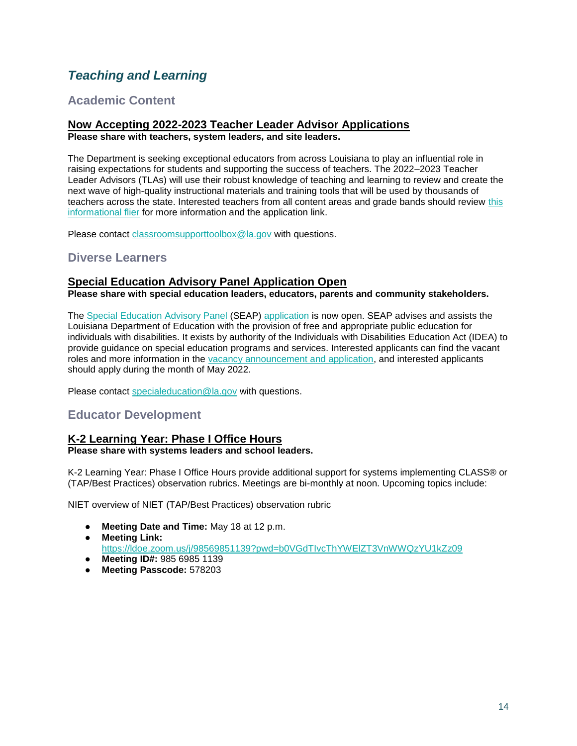## <span id="page-14-2"></span>*Teaching and Learning*

## <span id="page-14-0"></span>**Academic Content**

## **Now Accepting 2022-2023 Teacher Leader Advisor Applications**

**Please share with teachers, system leaders, and site leaders.**

The Department is seeking exceptional educators from across Louisiana to play an influential role in raising expectations for students and supporting the success of teachers. The 2022–2023 Teacher Leader Advisors (TLAs) will use their robust knowledge of teaching and learning to review and create the next wave of high-quality instructional materials and training tools that will be used by thousands of teachers across the state. Interested teachers from all content areas and grade bands should review [this](https://www.louisianabelieves.com/docs/default-source/louisiana-teacher-leaders/teacher-leader-advisor-flyer.pdf)  [informational flier](https://www.louisianabelieves.com/docs/default-source/louisiana-teacher-leaders/teacher-leader-advisor-flyer.pdf) for more information and the application link.

Please contact [classroomsupporttoolbox@la.gov](mailto:ClassroomSupportToolbox@la.gov) with questions.

## <span id="page-14-3"></span>**Diverse Learners**

### **Special Education Advisory Panel Application Open**

**Please share with special education leaders, educators, parents and community stakeholders.**

The [Special Education Advisory Panel](https://www.louisianabelieves.com/docs/default-source/academics/special-education-advisory-panel-(seap)-overview.pdf?sfvrsn=8bfd891f_42) (SEAP) [application](https://www.louisianabelieves.com/docs/default-source/students-with-disabilities/seap-member-vacancy-announcement-and-application.pdf?sfvrsn=4ea76618_12) is now open. SEAP advises and assists the Louisiana Department of Education with the provision of free and appropriate public education for individuals with disabilities. It exists by authority of the Individuals with Disabilities Education Act (IDEA) to provide guidance on special education programs and services. Interested applicants can find the vacant roles and more information in the [vacancy announcement and application,](https://www.louisianabelieves.com/docs/default-source/students-with-disabilities/seap-member-vacancy-announcement-and-application.pdf?sfvrsn=4ea76618_12) and interested applicants should apply during the month of May 2022.

Please contact [specialeducation@la.gov](mailto:specialeducation@la.gov) with questions.

## <span id="page-14-1"></span>**Educator Development**

### **K-2 Learning Year: Phase I Office Hours**

#### **Please share with systems leaders and school leaders.**

K-2 Learning Year: Phase I Office Hours provide additional support for systems implementing CLASS® or (TAP/Best Practices) observation rubrics. Meetings are bi-monthly at noon. Upcoming topics include:

NIET overview of NIET (TAP/Best Practices) observation rubric

- **Meeting Date and Time:** May 18 at 12 p.m.
- **Meeting Link:**

<https://ldoe.zoom.us/j/98569851139?pwd=b0VGdTIvcThYWElZT3VnWWQzYU1kZz09>

- **Meeting ID#:** 985 6985 1139
- **Meeting Passcode:** 578203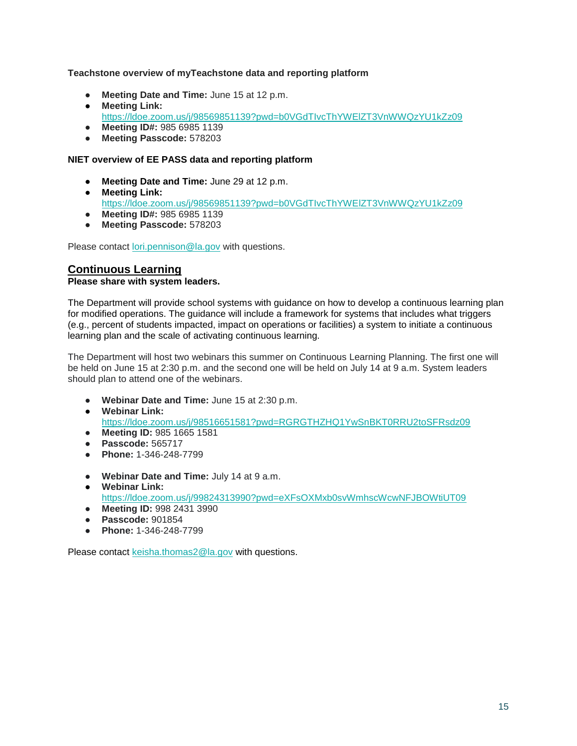#### **Teachstone overview of myTeachstone data and reporting platform**

- **Meeting Date and Time:** June 15 at 12 p.m.
- **Meeting Link:**  <https://ldoe.zoom.us/j/98569851139?pwd=b0VGdTIvcThYWElZT3VnWWQzYU1kZz09>
- **Meeting ID#:** 985 6985 1139
- **Meeting Passcode:** 578203

#### **NIET overview of EE PASS data and reporting platform**

- **Meeting Date and Time: June 29 at 12 p.m.**
- **Meeting Link:**  <https://ldoe.zoom.us/j/98569851139?pwd=b0VGdTIvcThYWElZT3VnWWQzYU1kZz09> ● **Meeting ID#:** 985 6985 1139
- **Meeting Passcode:** 578203

Please contact [lori.pennison@la.gov](mailto:lori.pennison@la.gov) with questions.

#### **Continuous Learning Please share with system leaders.**

The Department will provide school systems with guidance on how to develop a continuous learning plan for modified operations. The guidance will include a framework for systems that includes what triggers (e.g., percent of students impacted, impact on operations or facilities) a system to initiate a continuous learning plan and the scale of activating continuous learning.

The Department will host two webinars this summer on Continuous Learning Planning. The first one will be held on June 15 at 2:30 p.m. and the second one will be held on July 14 at 9 a.m. System leaders should plan to attend one of the webinars.

- **Webinar Date and Time:** June 15 at 2:30 p.m.
- **Webinar Link[:](https://ldoe.zoom.us/j/98516651581?pwd=RGRGTHZHQ1YwSnBKT0RRU2toSFRsdz09)** <https://ldoe.zoom.us/j/98516651581?pwd=RGRGTHZHQ1YwSnBKT0RRU2toSFRsdz09>
- **Meeting ID:** 985 1665 1581
- **Passcode:** 565717
- **Phone:** 1-346-248-7799
- **Webinar Date and Time:** July 14 at 9 a.m.
- **Webinar Link:** <https://ldoe.zoom.us/j/99824313990?pwd=eXFsOXMxb0svWmhscWcwNFJBOWtiUT09>
- **Meeting ID:** 998 2431 3990
- **Passcode:** 901854
- **Phone:** 1-346-248-7799

Please contact [keisha.thomas2@la.gov](mailto:keisha.thomas2@la.gov) with questions.